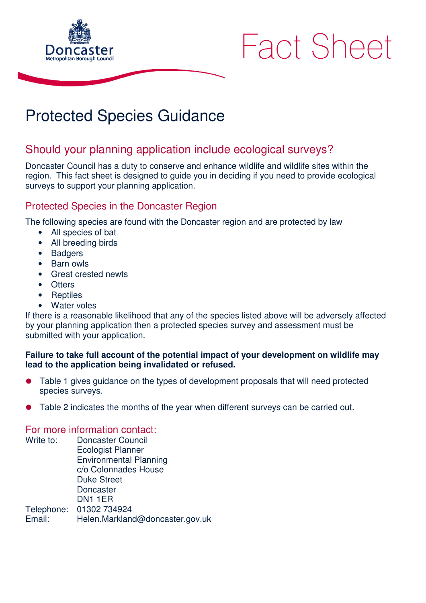

# **Fact Sheet**

## Protected Species Guidance

### Should your planning application include ecological surveys?

Doncaster Council has a duty to conserve and enhance wildlife and wildlife sites within the region. This fact sheet is designed to guide you in deciding if you need to provide ecological surveys to support your planning application.

#### Protected Species in the Doncaster Region

The following species are found with the Doncaster region and are protected by law

- All species of bat
- All breeding birds
- **Badgers**
- Barn owls
- Great crested newts
- Otters
- Reptiles
- Water voles

If there is a reasonable likelihood that any of the species listed above will be adversely affected by your planning application then a protected species survey and assessment must be submitted with your application.

#### **Failure to take full account of the potential impact of your development on wildlife may lead to the application being invalidated or refused.**

- Table 1 gives guidance on the types of development proposals that will need protected species surveys.
- Table 2 indicates the months of the year when different surveys can be carried out.

#### For more information contact:

Write to: Doncaster Council Ecologist Planner Environmental Planning c/o Colonnades House Duke Street **Doncaster** DN1 1ER Telephone: 01302 734924 Email: Helen.Markland@doncaster.gov.uk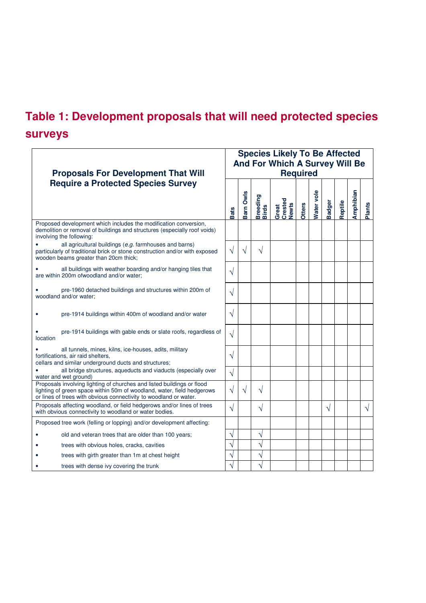## **Table 1: Development proposals that will need protected species surveys**

|                                                                                                                                                                                                                       | <b>Species Likely To Be Affected</b>              |                  |                                 |                           |               |                   |               |         |           |               |
|-----------------------------------------------------------------------------------------------------------------------------------------------------------------------------------------------------------------------|---------------------------------------------------|------------------|---------------------------------|---------------------------|---------------|-------------------|---------------|---------|-----------|---------------|
| <b>Proposals For Development That Will</b>                                                                                                                                                                            | And For Which A Survey Will Be<br><b>Required</b> |                  |                                 |                           |               |                   |               |         |           |               |
| <b>Require a Protected Species Survey</b>                                                                                                                                                                             |                                                   |                  |                                 |                           |               |                   |               |         |           |               |
|                                                                                                                                                                                                                       | <b>Bats</b>                                       | <b>Barn Owls</b> | <b>Breeding</b><br><b>Birds</b> | Great<br>Crested<br>Newts | <b>Otters</b> | <b>Nater vole</b> | <b>Badger</b> | Reptile | Amphibian | <b>Plants</b> |
| Proposed development which includes the modification conversion,<br>demolition or removal of buildings and structures (especially roof voids)<br>involving the following:                                             |                                                   |                  |                                 |                           |               |                   |               |         |           |               |
| all agricultural buildings (e.g. farmhouses and barns)<br>particularly of traditional brick or stone construction and/or with exposed<br>wooden beams greater than 20cm thick;                                        | V                                                 | V                | V                               |                           |               |                   |               |         |           |               |
| all buildings with weather boarding and/or hanging tiles that<br>are within 200m ofwoodland and/or water;                                                                                                             | $\sqrt{}$                                         |                  |                                 |                           |               |                   |               |         |           |               |
| pre-1960 detached buildings and structures within 200m of<br>woodland and/or water:                                                                                                                                   | V                                                 |                  |                                 |                           |               |                   |               |         |           |               |
| pre-1914 buildings within 400m of woodland and/or water                                                                                                                                                               | V                                                 |                  |                                 |                           |               |                   |               |         |           |               |
| pre-1914 buildings with gable ends or slate roofs, regardless of<br>location                                                                                                                                          | $\sqrt{ }$                                        |                  |                                 |                           |               |                   |               |         |           |               |
| all tunnels, mines, kilns, ice-houses, adits, military<br>fortifications, air raid shelters,<br>cellars and similar underground ducts and structures;                                                                 | V                                                 |                  |                                 |                           |               |                   |               |         |           |               |
| all bridge structures, aqueducts and viaducts (especially over<br>water and wet ground)                                                                                                                               | $\sqrt{}$                                         |                  |                                 |                           |               |                   |               |         |           |               |
| Proposals involving lighting of churches and listed buildings or flood<br>lighting of green space within 50m of woodland, water, field hedgerows<br>or lines of trees with obvious connectivity to woodland or water. | $\sqrt{}$                                         | V                | V                               |                           |               |                   |               |         |           |               |
| Proposals affecting woodland, or field hedgerows and/or lines of trees<br>with obvious connectivity to woodland or water bodies.                                                                                      | $\sqrt{}$                                         |                  | $\sqrt{}$                       |                           |               |                   | V             |         |           | V             |
| Proposed tree work (felling or lopping) and/or development affecting:                                                                                                                                                 |                                                   |                  |                                 |                           |               |                   |               |         |           |               |
| old and veteran trees that are older than 100 years;                                                                                                                                                                  | V                                                 |                  | V                               |                           |               |                   |               |         |           |               |
| trees with obvious holes, cracks, cavities                                                                                                                                                                            | $\mathcal{N}$                                     |                  | N                               |                           |               |                   |               |         |           |               |
| trees with girth greater than 1m at chest height                                                                                                                                                                      | N                                                 |                  | N                               |                           |               |                   |               |         |           |               |
| trees with dense ivy covering the trunk                                                                                                                                                                               |                                                   |                  |                                 |                           |               |                   |               |         |           |               |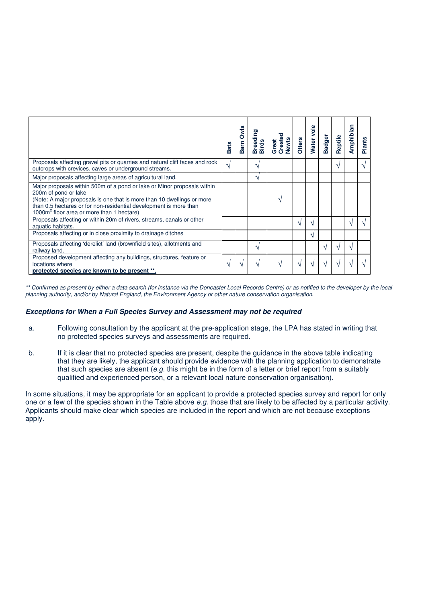|                                                                                                                                                                                                                                                                                                         | <b>Bats</b>   | Owls<br>Barn | Breeding<br><b>Birds</b> | Crester<br><b>Newts</b><br>Great | <b>Otters</b> | Water vole | <b>Badger</b> | Reptile | Amphibian | <b>Plants</b> |
|---------------------------------------------------------------------------------------------------------------------------------------------------------------------------------------------------------------------------------------------------------------------------------------------------------|---------------|--------------|--------------------------|----------------------------------|---------------|------------|---------------|---------|-----------|---------------|
| Proposals affecting gravel pits or quarries and natural cliff faces and rock<br>outcrops with crevices, caves or underground streams.                                                                                                                                                                   | $\mathcal{N}$ |              | $\mathbf{v}$             |                                  |               |            |               | ٦       |           |               |
| Major proposals affecting large areas of agricultural land.                                                                                                                                                                                                                                             |               |              | N                        |                                  |               |            |               |         |           |               |
| Major proposals within 500m of a pond or lake or Minor proposals within<br>200m of pond or lake<br>(Note: A major proposals is one that is more than 10 dwellings or more<br>than 0.5 hectares or for non-residential development is more than<br>1000m <sup>2</sup> floor area or more than 1 hectare) |               |              |                          |                                  |               |            |               |         |           |               |
| Proposals affecting or within 20m of rivers, streams, canals or other<br>aquatic habitats.                                                                                                                                                                                                              |               |              |                          |                                  | ٦             | ٦          |               |         | ٦         |               |
| Proposals affecting or in close proximity to drainage ditches                                                                                                                                                                                                                                           |               |              |                          |                                  |               | $\sqrt{ }$ |               |         |           |               |
| Proposals affecting 'derelict' land (brownfield sites), allotments and<br>railway land.                                                                                                                                                                                                                 |               |              | V                        |                                  |               |            |               |         |           |               |
| Proposed development affecting any buildings, structures, feature or<br>locations where<br>protected species are known to be present **.                                                                                                                                                                | ٦             | ٦            | V                        |                                  |               |            |               |         |           |               |

\*\* Confirmed as present by either a data search (for instance via the Doncaster Local Records Centre) or as notified to the developer by the local planning authority, and/or by Natural England, the Environment Agency or other nature conservation organisation.

#### **Exceptions for When a Full Species Survey and Assessment may not be required**

- a. Following consultation by the applicant at the pre-application stage, the LPA has stated in writing that no protected species surveys and assessments are required.
- b. If it is clear that no protected species are present, despite the guidance in the above table indicating that they are likely, the applicant should provide evidence with the planning application to demonstrate that such species are absent (e.g. this might be in the form of a letter or brief report from a suitably qualified and experienced person, or a relevant local nature conservation organisation).

In some situations, it may be appropriate for an applicant to provide a protected species survey and report for only one or a few of the species shown in the Table above e.g. those that are likely to be affected by a particular activity. Applicants should make clear which species are included in the report and which are not because exceptions apply.